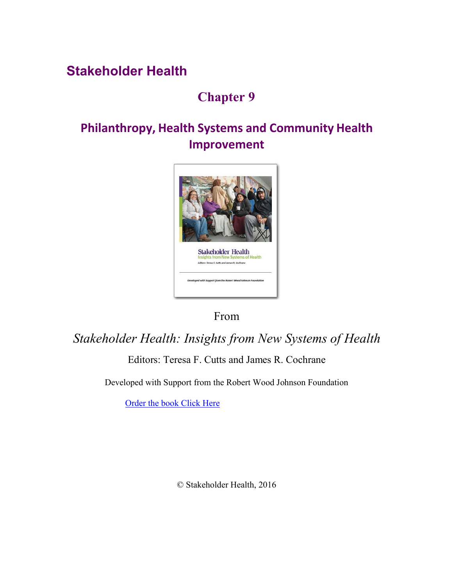## **Stakeholder Health**

# **Chapter 9**

# **Philanthropy, Health Systems and Community Health Improvement**



From

## *Stakeholder Health: Insights from New Systems of Health*

## Editors: Teresa F. Cutts and James R. Cochrane

Developed with Support from the Robert Wood Johnson Foundation

Order the [book Click Here](https://www.amazon.com/Stakeholder-Health-Insights-New-Systems/dp/069270728X?ie=UTF8&keywords=%26%2334%3Bstakeholder%20health%26%2334%3B&qid=1464881294&ref_=sr_1_2&s=books&sr=1-2)

© Stakeholder Health, 2016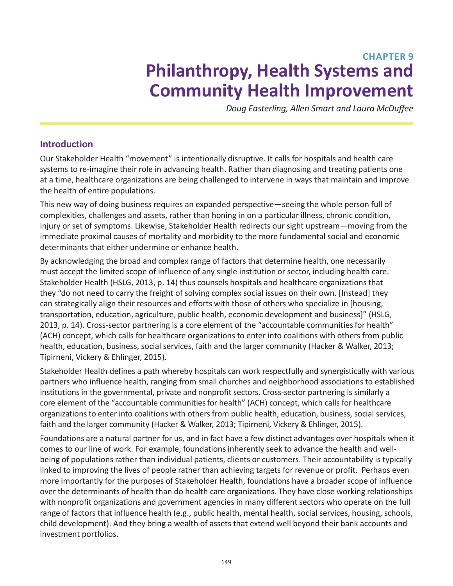# **CHAPTER 9 Philanthropy, Health Systems and Community Health Improvement**

*Doug Easterling, Allen Smart and Laura McDuffee*

### **Introduction**

Our Stakeholder Health "movement" is intentionally disruptive. It calls for hospitals and health care systems to re-imagine their role in advancing health. Rather than diagnosing and treating patients one at a time, healthcare organizations are being challenged to intervene in ways that maintain and improve the health of entire populations.

This new way of doing business requires an expanded perspective—seeing the whole person full of complexities, challenges and assets, rather than honing in on a particularillness, chronic condition, injury or set of symptoms. Likewise, Stakeholder Health redirects our sight upstream—moving from the immediate proximal causes of mortality and morbidity to the more fundamental social and economic determinants that either undermine or enhance health.

By acknowledging the broad and complex range of factors that determine health, one necessarily must accept the limited scope of influence of any single institution or sector, including health care. Stakeholder Health (HSLG, 2013, p. 14) thus counsels hospitals and healthcare organizationsthat they "do not need to carry the freight of solving complex social issues on their own. [Instead] they can strategically align their resources and efforts with those of others who specialize in [housing, transportation, education, agriculture, public health, economic development and business]" (HSLG, 2013, p. 14). Cross-sector partnering is a core element of the "accountable communities for health" (ACH) concept, which calls for healthcare organizations to enter into coalitions with others from public health, education, business, social services, faith and the larger community (Hacker & Walker, 2013; Tipirneni, Vickery & Ehlinger, 2015).

Stakeholder Health defines a path whereby hospitals can work respectfully and synergistically with various partners who influence health, ranging from small churches and neighborhood associations to established institutions in the governmental, private and nonprofit sectors. Cross-sector partnering is similarly a core element of the "accountable communities for health" (ACH) concept, which calls for healthcare organizationsto enter into coalitions with others from public health, education, business, social services, faith and the larger community (Hacker & Walker, 2013; Tipirneni, Vickery & Ehlinger, 2015).

Foundations are a natural partner for us, and in fact have a few distinct advantages over hospitals when it comes to our line of work. For example, foundationsinherently seek to advance the health and wellbeing of populations rather than individual patients, clients or customers. Their accountability is typically linked to improving the lives of people rather than achieving targets for revenue or profit. Perhaps even more importantly for the purposes of Stakeholder Health, foundations have a broader scope of influence over the determinants of health than do health care organizations. They have close working relationships with nonprofit organizations and government agencies in many different sectors who operate on the full range of factors that influence health (e.g., public health, mental health, social services, housing, schools, child development). And they bring a wealth of assets that extend well beyond their bank accounts and investment portfolios.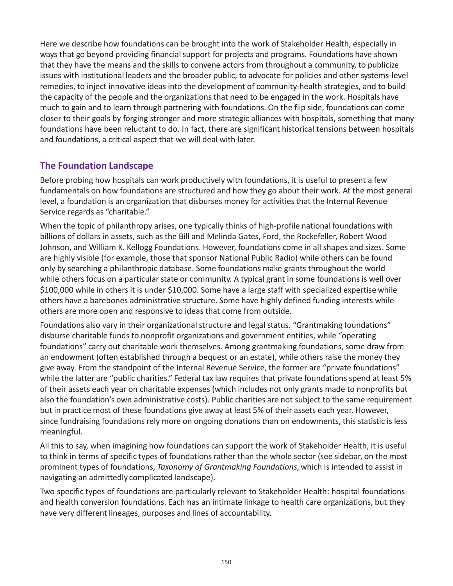Here we describe how foundations can be brought into the work of Stakeholder Health, especially in ways that go beyond providing financial support for projects and programs. Foundations have shown that they have the means and the skills to convene actors from throughout a community, to publicize issues with institutional leaders and the broader public, to advocate for policies and other systems-level remedies, to inject innovative ideas into the development of community-health strategies, and to build the capacity of the people and the organizations that need to be engaged in the work. Hospitals have much to gain and to learn through partnering with foundations. On the flip side, foundations can come closer to their goals by forging stronger and more strategic alliances with hospitals, something that many foundations have been reluctant to do. In fact, there are significant historical tensions between hospitals and foundations, a critical aspect that we will deal with later.

## **The Foundation Landscape**

Before probing how hospitals can work productively with foundations, it is useful to present a few fundamentals on how foundations are structured and how they go about their work. At the most general level, a foundation is an organization that disburses money for activities that the Internal Revenue Service regards as "charitable."

When the topic of philanthropy arises, one typically thinks of high-profile national foundations with billions of dollars in assets, such as the Bill and Melinda Gates, Ford, the Rockefeller, Robert Wood Johnson, and William K. Kellogg Foundations. However, foundations come in all shapes and sizes. Some are highly visible (for example, those that sponsor National Public Radio) while others can be found only by searching a philanthropic database. Some foundations make grants throughout the world while others focus on a particular state or community. A typical grant in some foundations is well over \$100,000 while in others it is under \$10,000. Some have a large staff with specialized expertise while others have a barebones administrative structure. Some have highly defined funding interests while others are more open and responsive to ideas that come from outside.

Foundations also vary in their organizational structure and legal status. "Grantmaking foundations" disburse charitable funds to nonprofit organizations and government entities, while "operating foundations" carry out charitable work themselves. Among grantmaking foundations, some draw from an endowment (often established through a bequest or an estate), while others raise the money they give away. From the standpoint of the Internal Revenue Service, the former are "private foundations" while the latter are "public charities." Federal tax law requires that private foundations spend at least 5% of their assets each year on charitable expenses (which includes not only grants made to nonprofits but also the foundation's own administrative costs). Public charities are not subject to the same requirement but in practice most of these foundations give away at least 5% of their assets each year. However, since fundraising foundations rely more on ongoing donations than on endowments, this statistic is less meaningful.

All this to say, when imagining how foundations can support the work of Stakeholder Health, it is useful to think in terms of specific types of foundations rather than the whole sector (see sidebar, on the most prominent types of foundations, *Taxonomy of Grantmaking Foundations*, which is intended to assist in navigating an admittedly complicated landscape).

Two specific types of foundations are particularly relevant to Stakeholder Health: hospital foundations and health conversion foundations. Each has an intimate linkage to health care organizations, but they have very different lineages, purposes and lines of accountability.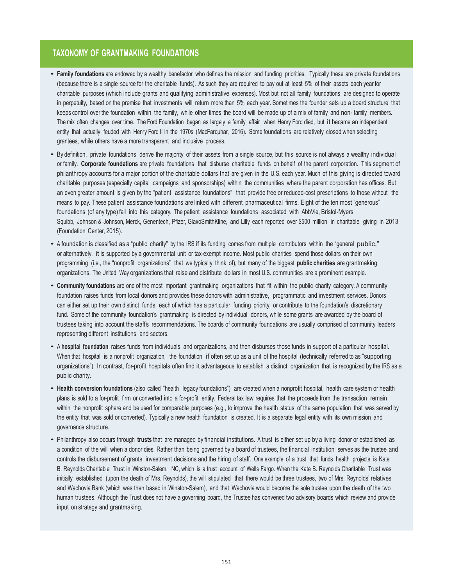### **TAXONOMY OF GRANTMAKING FOUNDATIONS**

- **Family foundations** are endowed by <sup>a</sup> wealthy benefactor who defines the mission and funding priorities. Typically these are private foundations (because there is a single source for the charitable funds). As such they are required to pay out at least 5% of their assets each year for charitable purposes (which include grants and qualifying administrative expenses). Most but not all family foundations are designed to operate in perpetuity, based on the premise that investments will return more than 5% each year. Sometimes the founder sets up a board structure that keeps control over the foundation within the family, while other times the board will be made up of a mix of family and non- family members. The mix often changes over time. The Ford Foundation began as largely a family affair when Henry Ford died, but it became an independent entity that actually feuded with Henry Ford II in the 1970s (MacFarquhar, 2016). Some foundations are relatively closed when selecting grantees, while others have a more transparent and inclusive process.
- By definition, private foundations derive the majority of their assets from <sup>a</sup> single source, but this source is not always <sup>a</sup> wealthy individual or family. **Corporate foundations** are private foundations that disburse charitable funds on behalf of the parent corporation. This segment of philanthropy accounts for a major portion of the charitable dollars that are given in the U.S. each year. Much of this giving is directed toward charitable purposes (especially capital campaigns and sponsorships) within the communities where the parent corporation has offices. But an even greater amount is given by the "patient assistance foundations" that provide free or reduced-cost prescriptions to those without the means to pay. These patient assistance foundations are linked with different pharmaceutical firms. Eight of the ten most "generous" foundations (of any type) fall into this category. The patient assistance foundations associated with AbbVie, Bristol-Myers Squibb, Johnson & Johnson, Merck, Genentech, Pfizer, GlaxoSmithKline, and Lilly each reported over \$500 million in charitable giving in 2013 (Foundation Center, 2015).
- <sup>A</sup> foundation is classified as <sup>a</sup> "public charity" by the IRS if its funding comes from multiple contributors within the "general public," or alternatively, it is supported by a governmental unit or tax-exempt income. Most public charities spend those dollars on their own programming (i.e., the "nonprofit organizations" that we typically think of), but many of the biggest **public charities** are grantmaking organizations. The United Way organizations that raise and distribute dollars in most U.S. communities are a prominent example.
- **Community foundations** are one of the most important grantmaking organizations that fit within the public charity category. <sup>A</sup> community foundation raises funds from local donors and provides these donors with administrative, programmatic and investment services. Donors can either set up their own distinct funds, each of which has a particular funding priority, or contribute to the foundation's discretionary fund. Some of the community foundation's grantmaking is directed by individual donors, while some grants are awarded by the board of trustees taking into account the staff's recommendations. The boards of community foundations are usually comprised of community leaders representing different institutions and sectors.
- <sup>A</sup> **hospital foundation** raises funds from individuals and organizations, and then disburses those funds in support of a particular hospital. When that hospital is a nonprofit organization, the foundation if often set up as a unit of the hospital (technically referred to as "supporting organizations"). In contrast, for-profit hospitals often find it advantageous to establish a distinct organization that is recognized by the IRS as a public charity.
- **Health conversion foundations** (also called "health legacy foundations") are created when <sup>a</sup> nonprofit hospital, health care system or health plans is sold to a for-profit firm or converted into a for-profit entity. Federal tax law requires that the proceeds from the transaction remain within the nonprofit sphere and be used for comparable purposes (e.g., to improve the health status of the same population that was served by the entity that was sold or converted). Typically a new health foundation is created. It is a separate legal entity with its own mission and governance structure.
- Philanthropy also occurs through **trusts** that are managed by financial institutions. <sup>A</sup> trust is either set up by <sup>a</sup> living donor or established as a condition of the will when a donor dies. Rather than being governed by a board of trustees, the financial institution serves as the trustee and controls the disbursement of grants, investment decisions and the hiring of staff. One example of a trust that funds health projects is Kate B. Reynolds Charitable Trust in Winston-Salem, NC, which is a trust account of Wells Fargo. When the Kate B. Reynolds Charitable Trust was initially established (upon the death of Mrs. Reynolds), the will stipulated that there would be three trustees, two of Mrs. Reynolds' relatives and Wachovia Bank (which was then based in Winston-Salem), and that Wachovia would become the sole trustee upon the death of the two human trustees. Although the Trust does not have a governing board, the Trustee has convened two advisory boards which review and provide input on strategy and grantmaking.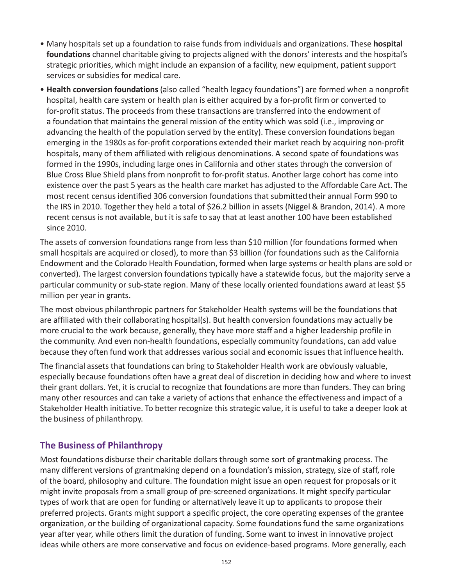- Many hospitals set up a foundation to raise funds from individuals and organizations. These **hospital foundations** channel charitable giving to projects aligned with the donors' interests and the hospital's strategic priorities, which might include an expansion of a facility, new equipment, patient support services or subsidies for medical care.
- **Health conversion foundations**(also called "health legacy foundations") are formed when a nonprofit hospital, health care system or health plan is either acquired by a for-profit firm or converted to for-profit status. The proceeds from these transactions are transferred into the endowment of a foundation that maintains the general mission of the entity which was sold (i.e., improving or advancing the health of the population served by the entity). These conversion foundations began emerging in the 1980s as for-profit corporations extended their market reach by acquiring non-profit hospitals, many of them affiliated with religious denominations. A second spate of foundations was formed in the 1990s, including large ones in California and other states through the conversion of Blue Cross Blue Shield plans from nonprofit to for-profit status. Another large cohort has come into existence over the past 5 years as the health care market has adjusted to the Affordable Care Act. The most recent census identified 306 conversion foundationsthat submitted their annual Form 990 to the IRS in 2010. Together they held a total of \$26.2 billion in assets (Niggel & Brandon, 2014). A more recent census is not available, but it is safe to say that at least another 100 have been established since 2010.

The assets of conversion foundations range from less than \$10 million (for foundations formed when small hospitals are acquired or closed), to more than \$3 billion (for foundations such as the California Endowment and the Colorado Health Foundation, formed when large systems or health plans are sold or converted). The largest conversion foundationstypically have a statewide focus, but the majority serve a particular community or sub-state region. Many of these locally oriented foundations award at least \$5 million per year in grants.

The most obvious philanthropic partners for Stakeholder Health systems will be the foundationsthat are affiliated with their collaborating hospital(s). But health conversion foundations may actually be more crucial to the work because, generally, they have more staff and a higher leadership profile in the community. And even non-health foundations, especially community foundations, can add value because they often fund work that addresses various social and economic issues that influence health.

The financial assets that foundations can bring to Stakeholder Health work are obviously valuable, especially because foundations often have a great deal of discretion in deciding how and where to invest their grant dollars. Yet, it is crucial to recognize that foundations are more than funders. They can bring many other resources and can take a variety of actionsthat enhance the effectiveness and impact of a Stakeholder Health initiative. To betterrecognize this strategic value, it is useful to take a deeper look at the business of philanthropy.

## **The Business of Philanthropy**

Most foundations disburse their charitable dollars through some sort of grantmaking process. The many different versions of grantmaking depend on a foundation's mission, strategy, size of staff, role of the board, philosophy and culture. The foundation might issue an open request for proposals or it might invite proposals from a small group of pre-screened organizations. It might specify particular types of work that are open for funding or alternatively leave it up to applicants to propose their preferred projects. Grants might support a specific project, the core operating expenses of the grantee organization, or the building of organizational capacity. Some foundationsfund the same organizations year after year, while others limit the duration of funding. Some want to invest in innovative project ideas while others are more conservative and focus on evidence-based programs. More generally, each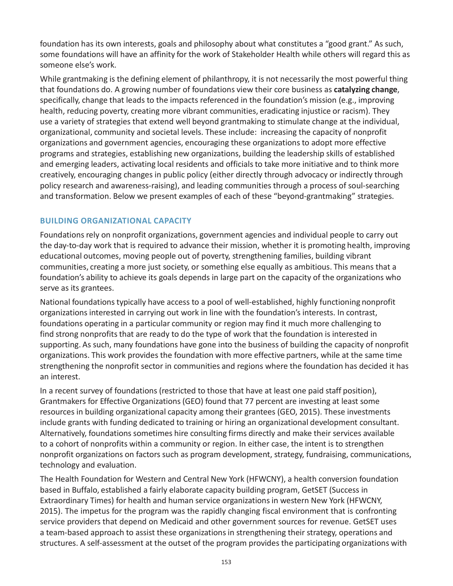foundation has its own interests, goals and philosophy about what constitutes a "good grant." As such, some foundations will have an affinity for the work of Stakeholder Health while others will regard this as someone else's work.

While grantmaking is the defining element of philanthropy, it is not necessarily the most powerful thing that foundations do. A growing number of foundations view their core business as **catalyzing change**, specifically, change that leads to the impacts referenced in the foundation's mission (e.g., improving health, reducing poverty, creating more vibrant communities, eradicating injustice or racism). They use a variety of strategies that extend well beyond grantmaking to stimulate change at the individual, organizational, community and societal levels. These include: increasing the capacity of nonprofit organizations and government agencies, encouraging these organizations to adopt more effective programs and strategies, establishing new organizations, building the leadership skills of established and emerging leaders, activating local residents and officials to take more initiative and to think more creatively, encouraging changes in public policy (either directly through advocacy or indirectly through policy research and awareness-raising), and leading communities through a process of soul-searching and transformation. Below we present examples of each of these "beyond-grantmaking" strategies.

### **BUILDING ORGANIZATIONAL CAPACITY**

Foundations rely on nonprofit organizations, government agencies and individual people to carry out the day-to-day work that is required to advance their mission, whether it is promoting health, improving educational outcomes, moving people out of poverty, strengthening families, building vibrant communities, creating a more just society, or something else equally as ambitious. This means that a foundation's ability to achieve its goals depends in large part on the capacity of the organizations who serve as its grantees.

National foundationstypically have access to a pool of well-established, highly functioning nonprofit organizations interested in carrying out work in line with the foundation's interests. In contrast, foundations operating in a particular community or region may find it much more challenging to find strong nonprofits that are ready to do the type of work that the foundation is interested in supporting. As such, many foundations have gone into the business of building the capacity of nonprofit organizations. This work provides the foundation with more effective partners, while at the same time strengthening the nonprofit sector in communities and regions where the foundation has decided it has an interest.

In a recent survey of foundations (restricted to those that have at least one paid staff position), Grantmakers for Effective Organizations(GEO) found that 77 percent are investing at least some resources in building organizational capacity among their grantees (GEO, 2015). These investments include grants with funding dedicated to training or hiring an organizational development consultant. Alternatively, foundations sometimes hire consulting firms directly and make their services available to a cohort of nonprofits within a community or region. In either case, the intent is to strengthen nonprofit organizations on factors such as program development, strategy, fundraising, communications, technology and evaluation.

The Health Foundation for Western and Central New York (HFWCNY), a health conversion foundation based in Buffalo, established a fairly elaborate capacity building program, GetSET (Success in Extraordinary Times) for health and human service organizationsin western New York (HFWCNY, 2015). The impetus for the program was the rapidly changing fiscal environment that is confronting service providers that depend on Medicaid and other government sources for revenue. GetSET uses a team-based approach to assist these organizations in strengthening their strategy, operations and structures. A self-assessment at the outset of the program provides the participating organizations with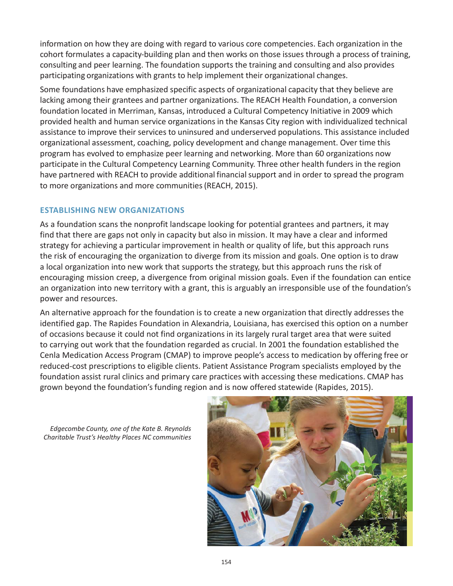information on how they are doing with regard to various core competencies. Each organization in the cohort formulates a capacity-building plan and then works on those issues through a process of training, consulting and peer learning. The foundation supports the training and consulting and also provides participating organizations with grants to help implement their organizational changes.

Some foundations have emphasized specific aspects of organizational capacity that they believe are lacking among their grantees and partner organizations. The REACH Health Foundation, a conversion foundation located in Merriman, Kansas, introduced a Cultural Competency Initiative in 2009 which provided health and human service organizations in the Kansas City region with individualized technical assistance to improve their services to uninsured and underserved populations. This assistance included organizational assessment, coaching, policy development and change management. Over time this program has evolved to emphasize peer learning and networking. More than 60 organizations now participate in the Cultural Competency Learning Community. Three other health funders in the region have partnered with REACH to provide additional financial support and in order to spread the program to more organizations and more communities(REACH, 2015).

### **ESTABLISHING NEW ORGANIZATIONS**

As a foundation scans the nonprofit landscape looking for potential grantees and partners, it may find that there are gaps not only in capacity but also in mission. It may have a clear and informed strategy for achieving a particular improvement in health or quality of life, but this approach runs the risk of encouraging the organization to diverge from its mission and goals. One option is to draw a local organization into new work that supports the strategy, but this approach runs the risk of encouraging mission creep, a divergence from original mission goals. Even if the foundation can entice an organization into new territory with a grant, this is arguably an irresponsible use of the foundation's power and resources.

An alternative approach for the foundation is to create a new organization that directly addresses the identified gap. The Rapides Foundation in Alexandria, Louisiana, has exercised this option on a number of occasions because it could not find organizations in its largely rural target area that were suited to carrying out work that the foundation regarded as crucial. In 2001 the foundation established the Cenla Medication Access Program (CMAP) to improve people's access to medication by offering free or reduced-cost prescriptions to eligible clients. Patient Assistance Program specialists employed by the foundation assist rural clinics and primary care practices with accessing these medications. CMAP has grown beyond the foundation's funding region and is now offered statewide (Rapides, 2015).

*Edgecombe County, one of the Kate B. Reynolds Charitable Trust's Healthy Places NC communities*

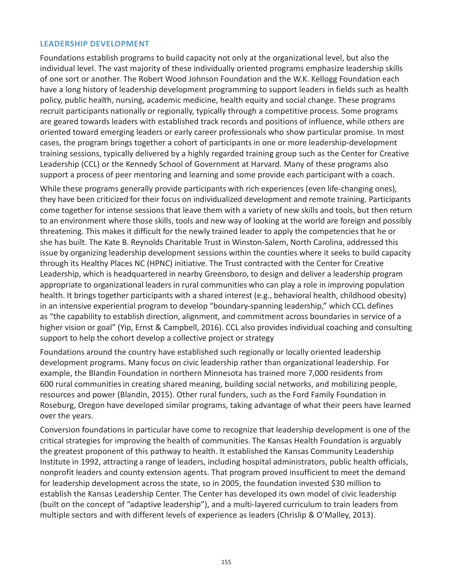#### **LEADERSHIP DEVELOPMENT**

Foundations establish programs to build capacity not only at the organizational level, but also the individual level. The vast majority of these individually oriented programs emphasize leadership skills of one sort or another. The Robert Wood Johnson Foundation and the W.K. Kellogg Foundation each have a long history of leadership development programming to support leaders in fields such as health policy, public health, nursing, academic medicine, health equity and social change. These programs recruit participants nationally or regionally, typically through a competitive process. Some programs are geared towards leaders with established track records and positions of influence, while others are oriented toward emerging leaders or early career professionals who show particular promise. In most cases, the program brings together a cohort of participantsin one or more leadership-development training sessions, typically delivered by a highly regarded training group such as the Center for Creative Leadership (CCL) or the Kennedy School of Government at Harvard. Many of these programs also support a process of peer mentoring and learning and some provide each participant with a coach.

While these programs generally provide participants with rich experiences (even life-changing ones), they have been criticized for their focus on individualized development and remote training. Participants come together for intense sessions that leave them with a variety of new skills and tools, but then return to an environment where those skills, tools and new way of looking at the world are foreign and possibly threatening. This makes it difficult for the newly trained leader to apply the competencies that he or she has built. The Kate B. Reynolds Charitable Trust in Winston-Salem, North Carolina, addressed this issue by organizing leadership development sessions within the counties where it seeks to build capacity through its Healthy Places NC (HPNC) initiative. The Trust contracted with the Center for Creative Leadership, which is headquartered in nearby Greensboro, to design and deliver a leadership program appropriate to organizational leaders in rural communities who can play a role in improving population health. It brings together participants with a shared interest (e.g., behavioral health, childhood obesity) in an intensive experiential program to develop "boundary-spanning leadership," which CCL defines as "the capability to establish direction, alignment, and commitment across boundaries in service of a higher vision or goal" (Yip, Ernst & Campbell, 2016). CCL also provides individual coaching and consulting support to help the cohort develop a collective project or strategy

Foundations around the country have established such regionally or locally oriented leadership development programs. Many focus on civic leadership rather than organizational leadership. For example, the Blandin Foundation in northern Minnesota has trained more 7,000 residents from 600 rural communitiesin creating shared meaning, building social networks, and mobilizing people, resources and power (Blandin, 2015). Other rural funders, such as the Ford Family Foundation in Roseburg, Oregon have developed similar programs, taking advantage of what their peers have learned over the years.

Conversion foundations in particular have come to recognize that leadership development is one of the critical strategies for improving the health of communities. The Kansas Health Foundation is arguably the greatest proponent of this pathway to health. It established the Kansas Community Leadership Institute in 1992, attracting a range of leaders, including hospital administrators, public health officials, nonprofit leaders and county extension agents. That program proved insufficient to meet the demand for leadership development across the state, so in 2005, the foundation invested \$30 million to establish the Kansas Leadership Center. The Center has developed its own model of civic leadership (built on the concept of "adaptive leadership"), and a multi-layered curriculum to train leaders from multiple sectors and with different levels of experience as leaders (Chrislip & O'Malley, 2013).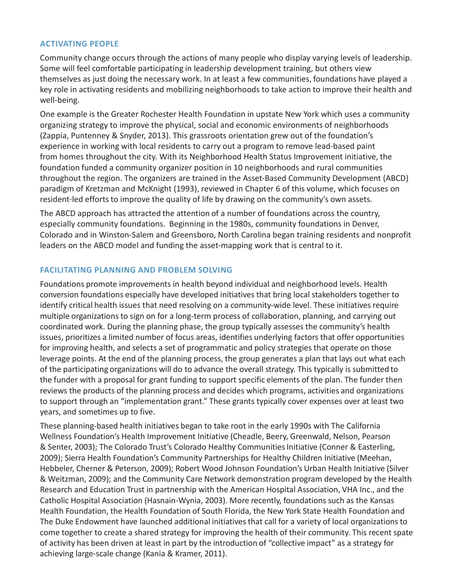#### **ACTIVATING PEOPLE**

Community change occurs through the actions of many people who display varying levels of leadership. Some will feel comfortable participating in leadership development training, but others view themselves as just doing the necessary work. In at least a few communities, foundations have played a key role in activating residents and mobilizing neighborhoods to take action to improve their health and well-being.

One example is the Greater Rochester Health Foundation in upstate New York which uses a community organizing strategy to improve the physical, social and economic environments of neighborhoods (Zappia, Puntenney & Snyder, 2013). This grassroots orientation grew out of the foundation's experience in working with local residents to carry out a program to remove lead-based paint from homes throughout the city. With its Neighborhood Health Status Improvement initiative, the foundation funded a community organizer position in 10 neighborhoods and rural communities throughout the region. The organizers are trained in the Asset-Based Community Development (ABCD) paradigm of Kretzman and McKnight (1993), reviewed in Chapter 6 of this volume, which focuses on resident-led efforts to improve the quality of life by drawing on the community's own assets.

The ABCD approach has attracted the attention of a number of foundations across the country, especially community foundations. Beginning in the 1980s, community foundations in Denver, Colorado and in Winston-Salem and Greensboro, North Carolina began training residents and nonprofit leaders on the ABCD model and funding the asset-mapping work that is central to it.

#### **FACILITATING PLANNING AND PROBLEM SOLVING**

Foundations promote improvements in health beyond individual and neighborhood levels. Health conversion foundations especially have developed initiativesthat bring local stakeholders together to identify critical health issues that need resolving on a community-wide level. These initiatives require multiple organizationsto sign on for a long-term process of collaboration, planning, and carrying out coordinated work. During the planning phase, the group typically assesses the community's health issues, prioritizes a limited number of focus areas, identifies underlying factors that offer opportunities for improving health, and selects a set of programmatic and policy strategies that operate on those leverage points. At the end of the planning process, the group generates a plan that lays out what each of the participating organizations will do to advance the overall strategy. This typically is submitted to the funder with a proposal for grant funding to support specific elements of the plan. The funder then reviews the products of the planning process and decides which programs, activities and organizations to support through an "implementation grant." These grants typically cover expenses over at least two years, and sometimes up to five.

These planning-based health initiatives began to take root in the early 1990s with The California Wellness Foundation's Health Improvement Initiative (Cheadle, Beery, Greenwald, Nelson, Pearson & Senter, 2003); The Colorado Trust's Colorado Healthy Communities Initiative (Conner & Easterling, 2009); Sierra Health Foundation's Community Partnerships for Healthy Children Initiative (Meehan, Hebbeler, Cherner & Peterson, 2009); Robert Wood Johnson Foundation's Urban Health Initiative (Silver & Weitzman, 2009); and the Community Care Network demonstration program developed by the Health Research and Education Trust in partnership with the American Hospital Association, VHA Inc., and the Catholic Hospital Association (Hasnain-Wynia, 2003). More recently, foundations such as the Kansas Health Foundation, the Health Foundation of South Florida, the New York State Health Foundation and The Duke Endowment have launched additional initiatives that call for a variety of local organizations to come together to create a shared strategy for improving the health of their community. This recent spate of activity has been driven at least in part by the introduction of "collective impact" as a strategy for achieving large-scale change (Kania & Kramer, 2011).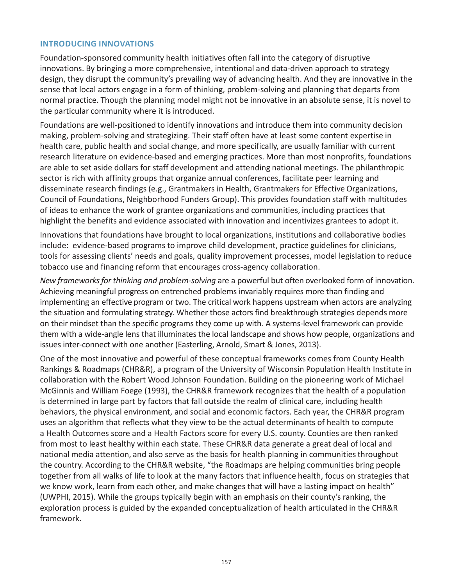#### **INTRODUCING INNOVATIONS**

Foundation-sponsored community health initiatives often fall into the category of disruptive innovations. By bringing a more comprehensive, intentional and data-driven approach to strategy design, they disrupt the community's prevailing way of advancing health. And they are innovative in the sense that local actors engage in a form of thinking, problem-solving and planning that departs from normal practice. Though the planning model might not be innovative in an absolute sense, it is novel to the particular community where it is introduced.

Foundations are well-positioned to identify innovations and introduce them into community decision making, problem-solving and strategizing. Their staff often have at least some content expertise in health care, public health and social change, and more specifically, are usually familiar with current research literature on evidence-based and emerging practices. More than most nonprofits, foundations are able to set aside dollars for staff development and attending national meetings. The philanthropic sector is rich with affinity groups that organize annual conferences, facilitate peer learning and disseminate research findings (e.g., Grantmakers in Health, Grantmakers for Effective Organizations, Council of Foundations, Neighborhood Funders Group). This provides foundation staff with multitudes of ideas to enhance the work of grantee organizations and communities, including practices that highlight the benefits and evidence associated with innovation and incentivizes grantees to adopt it.

Innovations that foundations have brought to local organizations, institutions and collaborative bodies include: evidence-based programs to improve child development, practice guidelines for clinicians, tools for assessing clients' needs and goals, quality improvement processes, model legislation to reduce tobacco use and financing reform that encourages cross-agency collaboration.

*New frameworksfor thinking and problem-solving* are a powerful but often overlooked form of innovation. Achieving meaningful progress on entrenched problems invariably requires more than finding and implementing an effective program or two. The critical work happens upstream when actors are analyzing the situation and formulating strategy. Whether those actors find breakthrough strategies depends more on their mindset than the specific programs they come up with. A systems-level framework can provide them with a wide-angle lens that illuminates the local landscape and shows how people, organizations and issues inter-connect with one another (Easterling, Arnold, Smart & Jones, 2013).

One of the most innovative and powerful of these conceptual frameworks comes from County Health Rankings & Roadmaps (CHR&R), a program of the University of Wisconsin Population Health Institute in collaboration with the Robert Wood Johnson Foundation. Building on the pioneering work of Michael McGinnis and William Foege (1993), the CHR&R framework recognizes that the health of a population is determined in large part by factors that fall outside the realm of clinical care, including health behaviors, the physical environment, and social and economic factors. Each year, the CHR&R program uses an algorithm that reflects what they view to be the actual determinants of health to compute a Health Outcomes score and a Health Factors score for every U.S. county. Counties are then ranked from most to least healthy within each state. These CHR&R data generate a great deal of local and national media attention, and also serve as the basis for health planning in communitiesthroughout the country. According to the CHR&R website, "the Roadmaps are helping communities bring people together from all walks of life to look at the many factors that influence health, focus on strategies that we know work, learn from each other, and make changes that will have a lasting impact on health" (UWPHI, 2015). While the groups typically begin with an emphasis on their county's ranking, the exploration process is guided by the expanded conceptualization of health articulated in the CHR&R framework.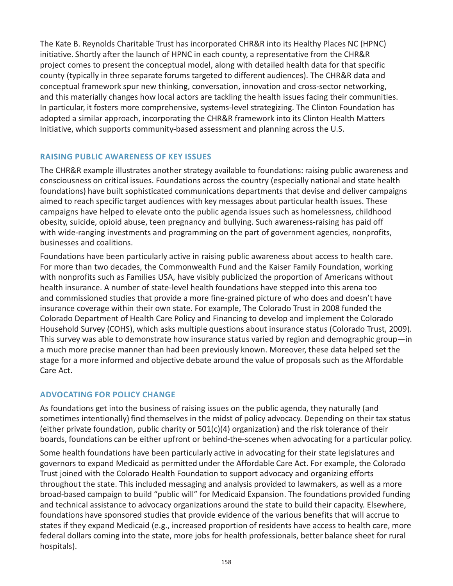The Kate B. Reynolds Charitable Trust has incorporated CHR&R into its Healthy Places NC (HPNC) initiative. Shortly after the launch of HPNC in each county, a representative from the CHR&R project comes to present the conceptual model, along with detailed health data for that specific county (typically in three separate forums targeted to different audiences). The CHR&R data and conceptual framework spur new thinking, conversation, innovation and cross-sector networking, and this materially changes how local actors are tackling the health issues facing their communities. In particular, it fosters more comprehensive, systems-level strategizing. The Clinton Foundation has adopted a similar approach, incorporating the CHR&R framework into its Clinton Health Matters Initiative, which supports community-based assessment and planning across the U.S.

### **RAISING PUBLIC AWARENESS OF KEY ISSUES**

The CHR&R example illustrates another strategy available to foundations: raising public awareness and consciousness on critical issues. Foundations across the country (especially national and state health foundations) have built sophisticated communications departments that devise and deliver campaigns aimed to reach specific target audiences with key messages about particular health issues. These campaigns have helped to elevate onto the public agenda issues such as homelessness, childhood obesity, suicide, opioid abuse, teen pregnancy and bullying. Such awareness-raising has paid off with wide-ranging investments and programming on the part of government agencies, nonprofits, businesses and coalitions.

Foundations have been particularly active in raising public awareness about access to health care. For more than two decades, the Commonwealth Fund and the Kaiser Family Foundation, working with nonprofits such as Families USA, have visibly publicized the proportion of Americans without health insurance. A number of state-level health foundations have stepped into this arena too and commissioned studies that provide a more fine-grained picture of who does and doesn't have insurance coverage within their own state. For example, The Colorado Trust in 2008 funded the Colorado Department of Health Care Policy and Financing to develop and implement the Colorado Household Survey (COHS), which asks multiple questions about insurance status (Colorado Trust, 2009). This survey was able to demonstrate how insurance status varied by region and demographic group—in a much more precise manner than had been previously known. Moreover, these data helped set the stage for a more informed and objective debate around the value of proposals such as the Affordable Care Act.

### **ADVOCATING FOR POLICY CHANGE**

As foundations get into the business of raising issues on the public agenda, they naturally (and sometimes intentionally) find themselves in the midst of policy advocacy. Depending on their tax status (either private foundation, public charity or 501(c)(4) organization) and the risk tolerance of their boards, foundations can be either upfront or behind-the-scenes when advocating for a particular policy.

Some health foundations have been particularly active in advocating for their state legislatures and governors to expand Medicaid as permitted under the Affordable Care Act. For example, the Colorado Trust joined with the Colorado Health Foundation to support advocacy and organizing efforts throughout the state. This included messaging and analysis provided to lawmakers, as well as a more broad-based campaign to build "public will" for Medicaid Expansion. The foundations provided funding and technical assistance to advocacy organizations around the state to build their capacity. Elsewhere, foundations have sponsored studies that provide evidence of the various benefits that will accrue to states if they expand Medicaid (e.g., increased proportion of residents have access to health care, more federal dollars coming into the state, more jobs for health professionals, better balance sheet for rural hospitals).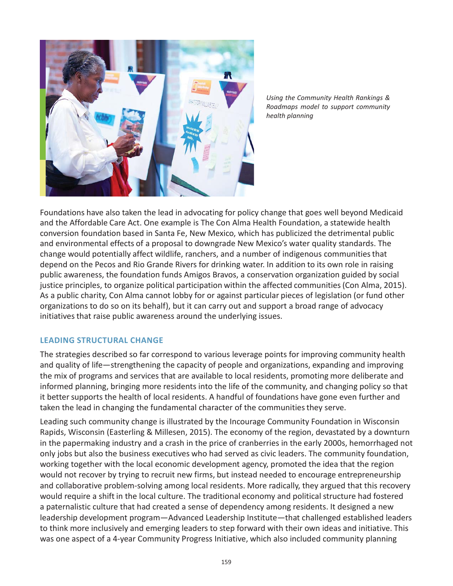

*Using the Community Health Rankings & Roadmaps model to support community health planning*

Foundations have also taken the lead in advocating for policy change that goes well beyond Medicaid and the Affordable Care Act. One example is The Con Alma Health Foundation, a statewide health conversion foundation based in Santa Fe, New Mexico, which has publicized the detrimental public and environmental effects of a proposal to downgrade New Mexico's water quality standards. The change would potentially affect wildlife, ranchers, and a number of indigenous communitiesthat depend on the Pecos and Rio Grande Rivers for drinking water. In addition to its own role in raising public awareness, the foundation funds Amigos Bravos, a conservation organization guided by social justice principles, to organize political participation within the affected communities(Con Alma, 2015). As a public charity, Con Alma cannot lobby for or against particular pieces of legislation (or fund other organizations to do so on its behalf), but it can carry out and support a broad range of advocacy initiatives that raise public awareness around the underlying issues.

#### **LEADING STRUCTURAL CHANGE**

The strategies described so far correspond to various leverage points for improving community health and quality of life—strengthening the capacity of people and organizations, expanding and improving the mix of programs and services that are available to local residents, promoting more deliberate and informed planning, bringing more residents into the life of the community, and changing policy so that it better supports the health of local residents. A handful of foundations have gone even further and taken the lead in changing the fundamental character of the communitiesthey serve.

Leading such community change is illustrated by the Incourage Community Foundation in Wisconsin Rapids, Wisconsin (Easterling & Millesen, 2015). The economy of the region, devastated by a downturn in the papermaking industry and a crash in the price of cranberries in the early 2000s, hemorrhaged not only jobs but also the business executives who had served as civic leaders. The community foundation, working together with the local economic development agency, promoted the idea that the region would not recover by trying to recruit new firms, but instead needed to encourage entrepreneurship and collaborative problem-solving among local residents. More radically, they argued that this recovery would require a shift in the local culture. The traditional economy and political structure had fostered a paternalistic culture that had created a sense of dependency among residents. It designed a new leadership development program—Advanced Leadership Institute—that challenged established leaders to think more inclusively and emerging leaders to step forward with their own ideas and initiative. This was one aspect of a 4-year Community Progress Initiative, which also included community planning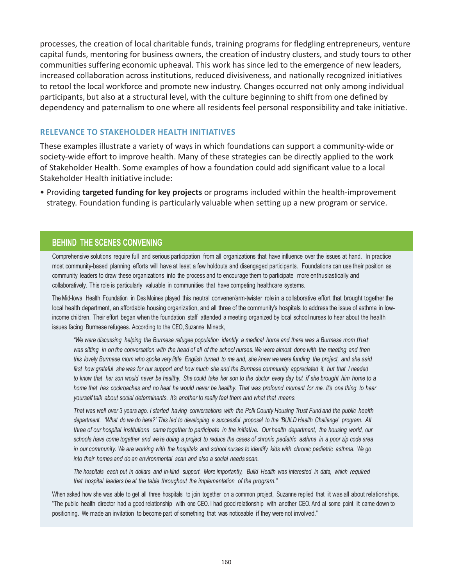processes, the creation of local charitable funds, training programs for fledgling entrepreneurs, venture capital funds, mentoring for business owners, the creation of industry clusters, and study tours to other communities suffering economic upheaval. This work has since led to the emergence of new leaders, increased collaboration across institutions, reduced divisiveness, and nationally recognized initiatives to retool the local workforce and promote new industry. Changes occurred not only among individual participants, but also at a structural level, with the culture beginning to shift from one defined by dependency and paternalism to one where all residents feel personal responsibility and take initiative.

#### **RELEVANCE TO STAKEHOLDER HEALTH INITIATIVES**

These examples illustrate a variety of ways in which foundations can support a community-wide or society-wide effort to improve health. Many of these strategies can be directly applied to the work of Stakeholder Health. Some examples of how a foundation could add significant value to a local Stakeholder Health initiative include:

• Providing **targeted funding for key projects** or programs included within the health-improvement strategy. Foundation funding is particularly valuable when setting up a new program or service.

## **BEHIND THE SCENES CONVENING**

Comprehensive solutions require full and serious participation from all organizations that have influence over the issues at hand. In practice most community-based planning efforts will have at least a few holdouts and disengaged participants. Foundations can use their position as community leaders to draw these organizations into the process and to encourage them to participate more enthusiastically and collaboratively. This role is particularly valuable in communities that have competing healthcare systems.

The Mid-Iowa Health Foundation in Des Moines played this neutral convener/arm-twister role in a collaborative effort that brought together the local health department, an affordable housing organization, and all three of the community's hospitals to address the issue of asthma in lowincome children. Their effort began when the foundation staff attended a meeting organized by local school nurses to hear about the health issues facing Burmese refugees. According to the CEO, Suzanne Mineck,

*"We were discussing helping the Burmese refugee population identify a medical home and there was a Burmese mom that*  was sitting in on the conversation with the head of all of the school nurses. We were almost done with the meeting and then this lovely Burmese mom who spoke very little English turned to me and, she knew we were funding the project, and she said first how grateful she was for our support and how much she and the Burmese community appreciated it, but that I needed to know that her son would never be healthy. She could take her son to the doctor every day but if she brought him home to a home that has cockroaches and no heat he would never be healthy. That was profound moment for me. It's one thing to hear *yourself talk about social determinants. It's another to really feel them and what that means.*

That was well over 3 years ago. I started having conversations with the Polk County Housing Trust Fund and the public health department. 'What do we do here?' This led to developing a successful proposal to the 'BUILD Health Challenge' program. All three of our hospital institutions came together to participate in the initiative. Our health department, the housing world, our schools have come together and we're doing a project to reduce the cases of chronic pediatric asthma in a poor zip code area in our community. We are working with the hospitals and school nurses to identify kids with chronic pediatric asthma. We go *into their homes and do an environmental scan and also a social needs scan.*

The hospitals each put in dollars and in-kind support. More importantly, Build Health was interested in data, which required *that hospital leaders be at the table throughout the implementation of the program."*

When asked how she was able to get all three hospitals to join together on a common project, Suzanne replied that it was all about relationships. "The public health director had a good relationship with one CEO. I had good relationship with another CEO. And at some point it came down to positioning. We made an invitation to become part of something that was noticeable if they were not involved."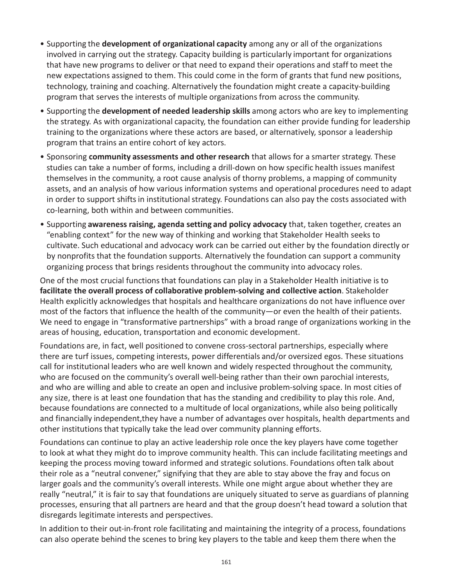- Supporting the **development of organizational capacity** among any or all of the organizations involved in carrying out the strategy. Capacity building is particularly important for organizations that have new programs to deliver or that need to expand their operations and staff to meet the new expectations assigned to them. This could come in the form of grants that fund new positions, technology, training and coaching. Alternatively the foundation might create a capacity-building program that serves the interests of multiple organizations from across the community.
- Supporting the **development of needed leadership skills** among actors who are key to implementing the strategy. As with organizational capacity, the foundation can either provide funding for leadership training to the organizations where these actors are based, or alternatively, sponsor a leadership program that trains an entire cohort of key actors.
- Sponsoring **community assessments and other research** that allows for a smarter strategy. These studies can take a number of forms, including a drill-down on how specific health issues manifest themselves in the community, a root cause analysis of thorny problems, a mapping of community assets, and an analysis of how various information systems and operational procedures need to adapt in order to support shifts in institutional strategy. Foundations can also pay the costs associated with co-learning, both within and between communities.
- Supporting **awareness raising, agenda setting and policy advocacy** that, taken together, creates an "enabling context" for the new way of thinking and working that Stakeholder Health seeks to cultivate. Such educational and advocacy work can be carried out either by the foundation directly or by nonprofits that the foundation supports. Alternatively the foundation can support a community organizing process that brings residents throughout the community into advocacy roles.

One of the most crucial functions that foundations can play in a Stakeholder Health initiative is to **facilitate the overall process of collaborative problem-solving and collective action**. Stakeholder Health explicitly acknowledges that hospitals and healthcare organizations do not have influence over most of the factors that influence the health of the community—or even the health of their patients. We need to engage in "transformative partnerships" with a broad range of organizations working in the areas of housing, education, transportation and economic development.

Foundations are, in fact, well positioned to convene cross-sectoral partnerships, especially where there are turf issues, competing interests, power differentials and/or oversized egos. These situations call for institutional leaders who are well known and widely respected throughout the community, who are focused on the community's overall well-being rather than their own parochial interests, and who are willing and able to create an open and inclusive problem-solving space. In most cities of any size, there is at least one foundation that has the standing and credibility to play this role. And, because foundations are connected to a multitude of local organizations, while also being politically and financially independent,they have a number of advantages over hospitals, health departments and other institutionsthat typically take the lead over community planning efforts.

Foundations can continue to play an active leadership role once the key players have come together to look at what they might do to improve community health. This can include facilitating meetings and keeping the process moving toward informed and strategic solutions. Foundations often talk about their role as a "neutral convener," signifying that they are able to stay above the fray and focus on larger goals and the community's overall interests. While one might argue about whether they are really "neutral," it is fair to say that foundations are uniquely situated to serve as guardians of planning processes, ensuring that all partners are heard and that the group doesn't head toward a solution that disregards legitimate interests and perspectives.

In addition to their out-in-front role facilitating and maintaining the integrity of a process, foundations can also operate behind the scenes to bring key players to the table and keep them there when the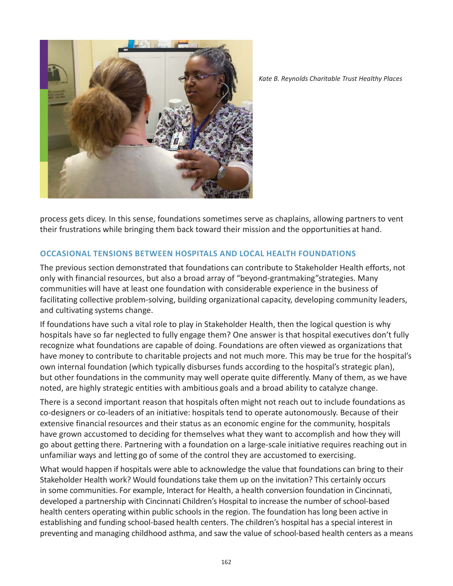

*Kate B. Reynolds Charitable Trust Healthy Places*

process gets dicey. In this sense, foundations sometimes serve as chaplains, allowing partners to vent their frustrations while bringing them back toward their mission and the opportunities at hand.

#### **OCCASIONAL TENSIONS BETWEEN HOSPITALS AND LOCAL HEALTH FOUNDATIONS**

The previous section demonstrated that foundations can contribute to Stakeholder Health efforts, not only with financial resources, but also a broad array of "beyond-grantmaking"strategies. Many communities will have at least one foundation with considerable experience in the business of facilitating collective problem-solving, building organizational capacity, developing community leaders, and cultivating systems change.

If foundations have such a vital role to play in Stakeholder Health, then the logical question is why hospitals have so far neglected to fully engage them? One answer is that hospital executives don't fully recognize what foundations are capable of doing. Foundations are often viewed as organizations that have money to contribute to charitable projects and not much more. This may be true for the hospital's own internal foundation (which typically disburses funds according to the hospital's strategic plan), but other foundations in the community may well operate quite differently. Many of them, as we have noted, are highly strategic entities with ambitious goals and a broad ability to catalyze change.

There is a second important reason that hospitals often might not reach out to include foundations as co-designers or co-leaders of an initiative: hospitals tend to operate autonomously. Because of their extensive financial resources and their status as an economic engine for the community, hospitals have grown accustomed to deciding for themselves what they want to accomplish and how they will go about getting there. Partnering with a foundation on a large-scale initiative requires reaching out in unfamiliar ways and letting go of some of the control they are accustomed to exercising.

What would happen if hospitals were able to acknowledge the value that foundations can bring to their Stakeholder Health work? Would foundations take them up on the invitation? This certainly occurs in some communities. For example, Interact for Health, a health conversion foundation in Cincinnati, developed a partnership with Cincinnati Children's Hospital to increase the number of school-based health centers operating within public schools in the region. The foundation has long been active in establishing and funding school-based health centers. The children's hospital has a special interest in preventing and managing childhood asthma, and saw the value of school-based health centers as a means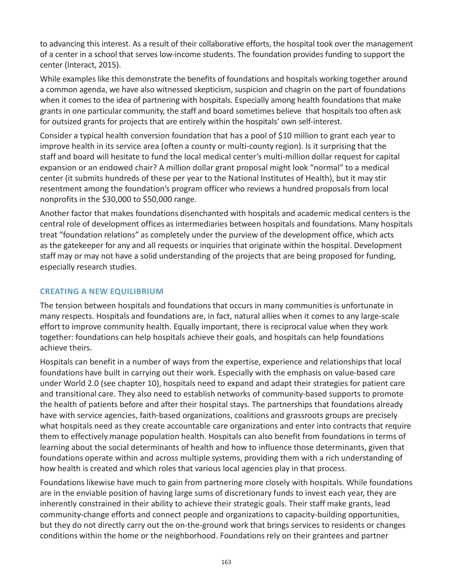to advancing this interest. As a result of their collaborative efforts, the hospital took over the management of a center in a school that serves low-income students. The foundation provides funding to support the center (Interact, 2015).

While examples like this demonstrate the benefits of foundations and hospitals working together around a common agenda, we have also witnessed skepticism, suspicion and chagrin on the part of foundations when it comes to the idea of partnering with hospitals. Especially among health foundations that make grants in one particular community, the staff and board sometimes believe that hospitals too often ask for outsized grants for projects that are entirely within the hospitals' own self-interest.

Consider a typical health conversion foundation that has a pool of \$10 million to grant each year to improve health in its service area (often a county or multi-county region). Is it surprising that the staff and board will hesitate to fund the local medical center's multi-million dollar request for capital expansion or an endowed chair? A million dollar grant proposal might look "normal" to a medical center (it submits hundreds of these per year to the National Institutes of Health), but it may stir resentment among the foundation's program officer who reviews a hundred proposals from local nonprofits in the \$30,000 to \$50,000 range.

Another factor that makes foundations disenchanted with hospitals and academic medical centers is the central role of development offices as intermediaries between hospitals and foundations. Many hospitals treat "foundation relations" as completely under the purview of the development office, which acts as the gatekeeper for any and all requests or inquiries that originate within the hospital. Development staff may or may not have a solid understanding of the projects that are being proposed for funding, especially research studies.

### **CREATING A NEW EQUILIBRIUM**

The tension between hospitals and foundations that occurs in many communities is unfortunate in many respects. Hospitals and foundations are, in fact, natural allies when it comes to any large-scale effort to improve community health. Equally important, there is reciprocal value when they work together: foundations can help hospitals achieve their goals, and hospitals can help foundations achieve theirs.

Hospitals can benefit in a number of ways from the expertise, experience and relationships that local foundations have built in carrying out their work. Especially with the emphasis on value-based care under World 2.0 (see chapter 10), hospitals need to expand and adapt their strategies for patient care and transitional care. They also need to establish networks of community-based supports to promote the health of patients before and after their hospital stays. The partnerships that foundations already have with service agencies, faith-based organizations, coalitions and grassroots groups are precisely what hospitals need as they create accountable care organizations and enter into contracts that require them to effectively manage population health. Hospitals can also benefit from foundations in terms of learning about the social determinants of health and how to influence those determinants, given that foundations operate within and across multiple systems, providing them with a rich understanding of how health is created and which roles that various local agencies play in that process.

Foundations likewise have much to gain from partnering more closely with hospitals. While foundations are in the enviable position of having large sums of discretionary funds to invest each year, they are inherently constrained in their ability to achieve their strategic goals. Their staff make grants, lead community-change efforts and connect people and organizations to capacity-building opportunities, but they do not directly carry out the on-the-ground work that brings services to residents or changes conditions within the home or the neighborhood. Foundations rely on their grantees and partner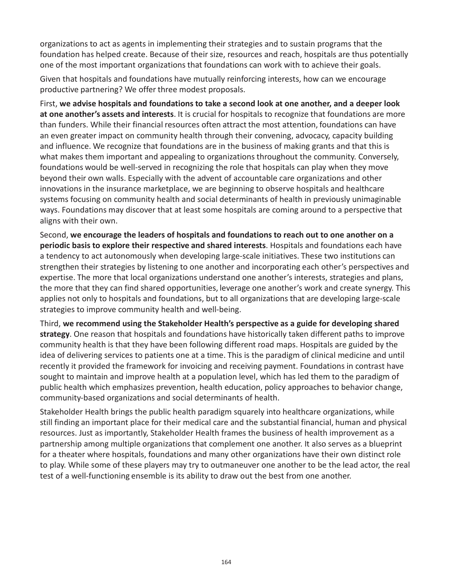organizations to act as agents in implementing their strategies and to sustain programs that the foundation has helped create. Because of their size, resources and reach, hospitals are thus potentially one of the most important organizations that foundations can work with to achieve their goals.

Given that hospitals and foundations have mutually reinforcing interests, how can we encourage productive partnering? We offer three modest proposals.

First, **we advise hospitals and foundations to take a second look at one another, and a deeper look at one another's assets and interests**. It is crucial for hospitals to recognize that foundations are more than funders. While their financial resources often attract the most attention, foundations can have an even greater impact on community health through their convening, advocacy, capacity building and influence. We recognize that foundations are in the business of making grants and that this is what makes them important and appealing to organizations throughout the community. Conversely, foundations would be well-served in recognizing the role that hospitals can play when they move beyond their own walls. Especially with the advent of accountable care organizations and other innovations in the insurance marketplace, we are beginning to observe hospitals and healthcare systems focusing on community health and social determinants of health in previously unimaginable ways. Foundations may discover that at least some hospitals are coming around to a perspective that aligns with their own.

Second, **we encourage the leaders of hospitals and foundations to reach out to one another on a periodic basis to explore their respective and shared interests**. Hospitals and foundations each have a tendency to act autonomously when developing large-scale initiatives. These two institutions can strengthen their strategies by listening to one another and incorporating each other's perspectives and expertise. The more that local organizations understand one another's interests, strategies and plans, the more that they can find shared opportunities, leverage one another's work and create synergy. This applies not only to hospitals and foundations, but to all organizations that are developing large-scale strategies to improve community health and well-being.

Third, **we recommend using the Stakeholder Health's perspective as a guide for developing shared strategy**. One reason that hospitals and foundations have historically taken different paths to improve community health is that they have been following different road maps. Hospitals are guided by the idea of delivering services to patients one at a time. This is the paradigm of clinical medicine and until recently it provided the framework for invoicing and receiving payment. Foundations in contrast have sought to maintain and improve health at a population level, which has led them to the paradigm of public health which emphasizes prevention, health education, policy approaches to behavior change, community-based organizations and social determinants of health.

Stakeholder Health brings the public health paradigm squarely into healthcare organizations, while still finding an important place for their medical care and the substantial financial, human and physical resources. Just as importantly, Stakeholder Health frames the business of health improvement as a partnership among multiple organizations that complement one another. It also serves as a blueprint for a theater where hospitals, foundations and many other organizations have their own distinct role to play. While some of these players may try to outmaneuver one another to be the lead actor, the real test of a well-functioning ensemble is its ability to draw out the best from one another.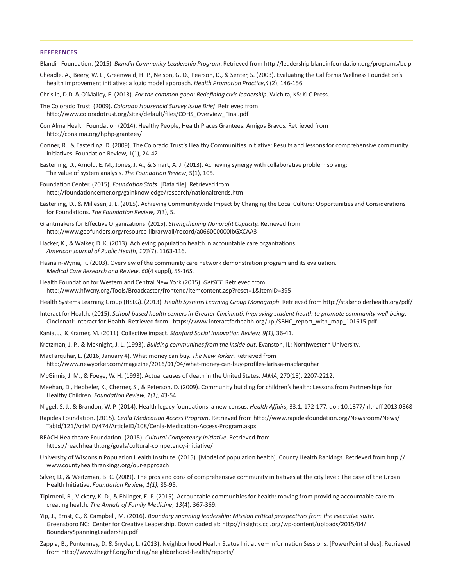#### **REFERENCES**

- Blandin Foundation. (2015). *Blandin Community Leadership Program*. Retrieved from <http://leadership.blandinfoundation.org/programs/bclp>
- Cheadle, A., Beery, W. L., Greenwald, H. P., Nelson, G. D., Pearson, D., & Senter, S. (2003). Evaluating the California Wellness Foundation's health improvement initiative: a logic model approach. *Health Promotion Practice*,*4* (2), 146-156.
- Chrislip, D.D. & O'Malley, E. (2013). *For the common good: Redefining civic leadership*. Wichita, KS: KLC Press.
- The Colorado Trust. (2009). *Colorado Household Survey Issue Brief*. Retrieved from [http://www.coloradotrust.org/sites/default/files/COHS\\_Overview\\_Final.pdf](http://www.coloradotrust.org/sites/default/files/COHS_Overview_Final.pdf)
- Con Alma Health Foundation (2014). Healthy People, Health Places Grantees: Amigos Bravos. Retrieved from <http://conalma.org/hphp-grantees/>
- Conner, R., & Easterling, D. (2009). The Colorado Trust's Healthy Communities Initiative: Results and lessons for comprehensive community initiatives. Foundation Review, 1(1), 24-42.
- Easterling, D., Arnold, E. M., Jones, J. A., & Smart, A. J. (2013). Achieving synergy with collaborative problem solving: The value of system analysis. *The Foundation Review*, 5(1), 105.
- Foundation Center. (2015). *Foundation Stats*. [Data file]. Retrieved from <http://foundationcenter.org/gainknowledge/research/nationaltrends.html>
- Easterling, D., & Millesen, J. L. (2015). Achieving Communitywide Impact by Changing the Local Culture: Opportunities and Considerations for Foundations. *The Foundation Review*, *7*(3), 5.
- Grantmakers for EffectiveOrganizations. (2015). *Strengthening Nonprofit Capacity.* Retrieved from <http://www.geofunders.org/resource-library/all/record/a066000000IbGXCAA3>
- Hacker, K., & Walker, D. K. (2013). Achieving population health in accountable care organizations. *American Journal of Public Health*, *103*(7), 1163-116.
- Hasnain-Wynia, R. (2003). Overview of the community care network demonstration program and its evaluation. *Medical Care Research and Review*, *60*(4 suppl), 5S-16S.
- Health Foundation for Western and Central New York (2015). *GetSET*. Retrieved from <http://www.hfwcny.org/Tools/Broadcaster/frontend/itemcontent.asp?reset=1&ItemID=395>
- Health Systems Learning Group (HSLG). (2013). *Health Systems Learning Group Monograph*. Retrieved from <http://stakeholderhealth.org/pdf/>
- Interact for Health. (2015). School-based health centers in Greater Cincinnati: Improving student health to promote community well-being. Cincinnati: Interact for Health. Retrieved from: htt[ps://w](http://www.interactforhealth.org/upl/SBHC_report_with_map_101615.pdf)w[w.interactforhealth.org/upl/SBHC\\_report\\_with\\_map\\_101615.pdf](http://www.interactforhealth.org/upl/SBHC_report_with_map_101615.pdf)
- Kania, J., & Kramer, M. (2011). Collective impact. *Stanford Social Innovation Review, 9(1),* 36-41.
- Kretzman, J. P., & McKnight, J. L. (1993). *Building communitiesfrom the inside out*. Evanston, IL: Northwestern University.
- MacFarquhar, L. (2016, January 4). What money can buy. *The New Yorker*. Retrieved from <http://www.newyorker.com/magazine/2016/01/04/what-money-can-buy-profiles-larissa-macfarquhar>
- McGinnis, J. M., & Foege, W. H. (1993). Actual causes of death in the United States. *JAMA*, 270(18), 2207-2212.
- Meehan, D., Hebbeler, K., Cherner, S., & Peterson, D. (2009). Community building for children's health: Lessons from Partnerships for Healthy Children. *Foundation Review, 1(1),* 43-54.
- Niggel, S. J., & Brandon, W. P. (2014). Health legacy foundations: a new census. *Health Affairs,* 33.1, 172-177. doi: 10.1377/hlthaff.2013.0868
- Rapides Foundation. (2015). *Cenla Medication Access Program*. Retrieved f[rom http://www.rapidesfoundation.org/Newsroom/News/](http://www.rapidesfoundation.org/Newsroom/News/) TabId/121/ArtMID/474/ArticleID/108/Cenla-Medication-Access-Program.aspx
- REACH Healthcare Foundation. (2015). *Cultural Competency Initiative*. Retrieved from https://reachhealth.org/goals/cultural-competency-initiative/
- University of Wisconsin Population Health Institute. (2015). [Model of population health]. County Health Rankings. Retrieved from http:// [www.countyhealthrankings.org/our-approach](http://www.countyhealthrankings.org/our-approach)
- Silver, D., & Weitzman, B. C. (2009). The pros and cons of comprehensive community initiatives at the city level: The case of the Urban Health Initiative. *Foundation Review, 1(1),* 85-95.
- Tipirneni, R., Vickery, K. D., & Ehlinger, E. P. (2015). Accountable communitiesfor health: moving from providing accountable care to creating health. *The Annals of Family Medicine*, *13*(4), 367-369.
- Yip, J., Ernst, C., & Campbell, M. (2016). *Boundary spanning leadership: Mission critical perspectivesfrom the executive suite.*  Greensboro NC: Center for Creative Leadership. Downloaded [at: http://insights.ccl.org/wp-content/uploads/2015/04/](http://insights.ccl.org/wp-content/uploads/2015/04/) BoundarySpanningLeadership.pdf
- Zappia, B., Puntenney, D. & Snyder, L. (2013). Neighborhood Health Status Initiative Information Sessions. [PowerPoint slides]. Retrieved f[rom http://www.thegrhf.org/funding/neighborhood-health/reports/](http://www.thegrhf.org/funding/neighborhood-health/reports/)